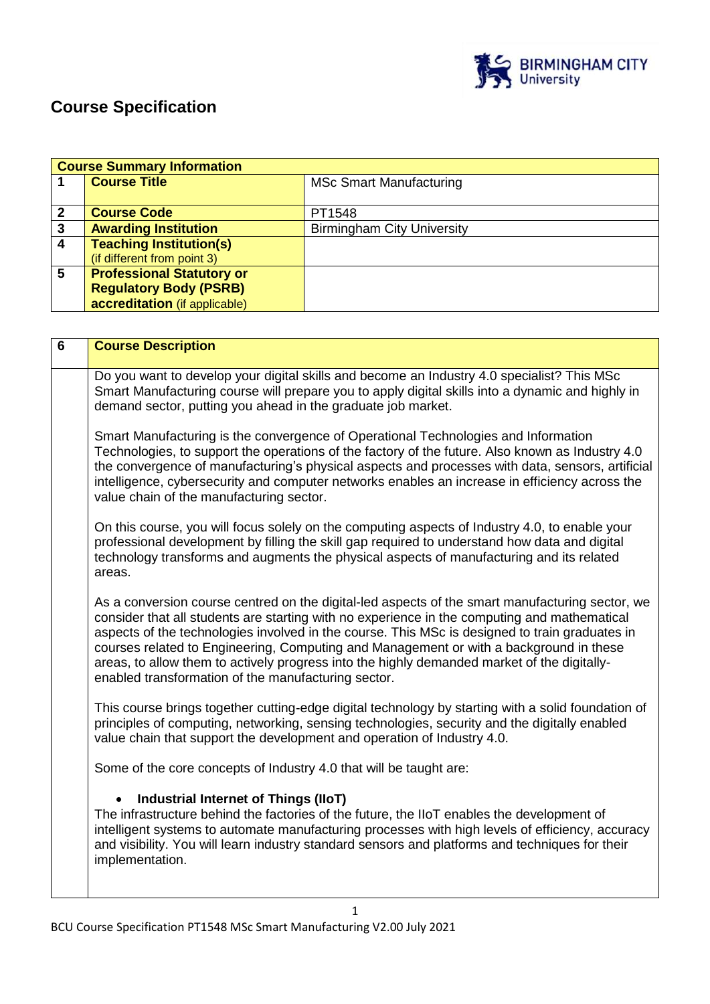

# **Course Specification**

|   | <b>Course Summary Information</b> |                                   |  |  |  |  |
|---|-----------------------------------|-----------------------------------|--|--|--|--|
|   | <b>Course Title</b>               | <b>MSc Smart Manufacturing</b>    |  |  |  |  |
|   |                                   |                                   |  |  |  |  |
|   | <b>Course Code</b>                | PT1548                            |  |  |  |  |
| 3 | <b>Awarding Institution</b>       | <b>Birmingham City University</b> |  |  |  |  |
| Δ | <b>Teaching Institution(s)</b>    |                                   |  |  |  |  |
|   | (if different from point 3)       |                                   |  |  |  |  |
| 5 | <b>Professional Statutory or</b>  |                                   |  |  |  |  |
|   | <b>Regulatory Body (PSRB)</b>     |                                   |  |  |  |  |
|   | accreditation (if applicable)     |                                   |  |  |  |  |

| 6 | <b>Course Description</b>                                                                                                                                                                                                                                                                                                                                                                                                                                                                                                                         |
|---|---------------------------------------------------------------------------------------------------------------------------------------------------------------------------------------------------------------------------------------------------------------------------------------------------------------------------------------------------------------------------------------------------------------------------------------------------------------------------------------------------------------------------------------------------|
|   | Do you want to develop your digital skills and become an Industry 4.0 specialist? This MSc<br>Smart Manufacturing course will prepare you to apply digital skills into a dynamic and highly in<br>demand sector, putting you ahead in the graduate job market.                                                                                                                                                                                                                                                                                    |
|   | Smart Manufacturing is the convergence of Operational Technologies and Information<br>Technologies, to support the operations of the factory of the future. Also known as Industry 4.0<br>the convergence of manufacturing's physical aspects and processes with data, sensors, artificial<br>intelligence, cybersecurity and computer networks enables an increase in efficiency across the<br>value chain of the manufacturing sector.                                                                                                          |
|   | On this course, you will focus solely on the computing aspects of Industry 4.0, to enable your<br>professional development by filling the skill gap required to understand how data and digital<br>technology transforms and augments the physical aspects of manufacturing and its related<br>areas.                                                                                                                                                                                                                                             |
|   | As a conversion course centred on the digital-led aspects of the smart manufacturing sector, we<br>consider that all students are starting with no experience in the computing and mathematical<br>aspects of the technologies involved in the course. This MSc is designed to train graduates in<br>courses related to Engineering, Computing and Management or with a background in these<br>areas, to allow them to actively progress into the highly demanded market of the digitally-<br>enabled transformation of the manufacturing sector. |
|   | This course brings together cutting-edge digital technology by starting with a solid foundation of<br>principles of computing, networking, sensing technologies, security and the digitally enabled<br>value chain that support the development and operation of Industry 4.0.                                                                                                                                                                                                                                                                    |
|   | Some of the core concepts of Industry 4.0 that will be taught are:                                                                                                                                                                                                                                                                                                                                                                                                                                                                                |
|   | Industrial Internet of Things (IIoT)                                                                                                                                                                                                                                                                                                                                                                                                                                                                                                              |
|   | The infrastructure behind the factories of the future, the IIoT enables the development of<br>intelligent systems to automate manufacturing processes with high levels of efficiency, accuracy<br>and visibility. You will learn industry standard sensors and platforms and techniques for their<br>implementation.                                                                                                                                                                                                                              |
|   |                                                                                                                                                                                                                                                                                                                                                                                                                                                                                                                                                   |

1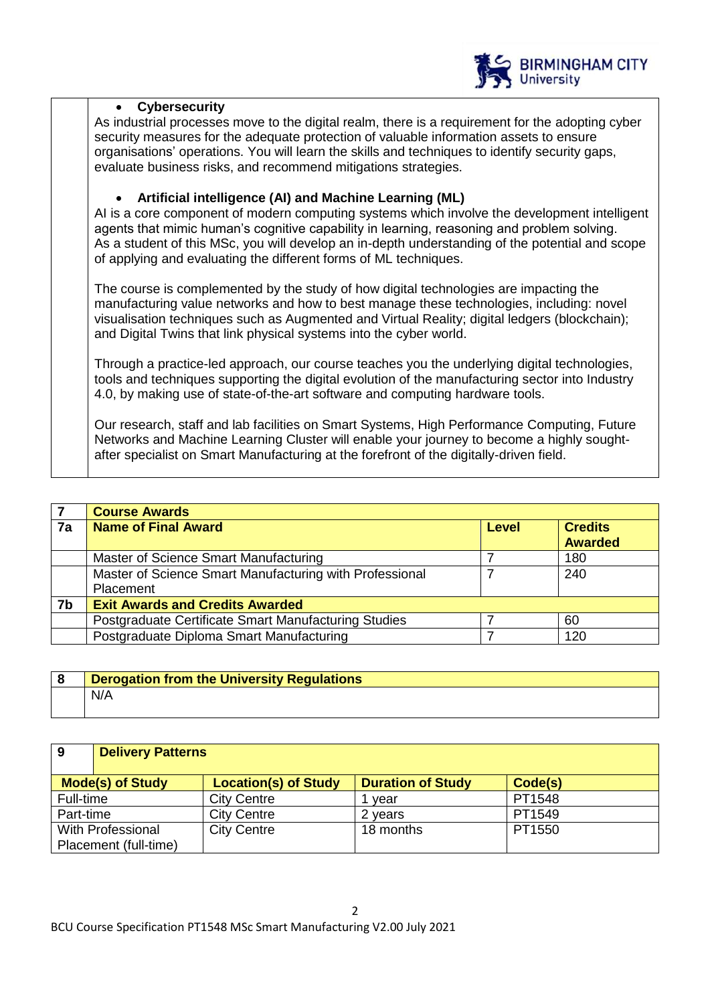

#### **Cybersecurity**

As industrial processes move to the digital realm, there is a requirement for the adopting cyber security measures for the adequate protection of valuable information assets to ensure organisations' operations. You will learn the skills and techniques to identify security gaps, evaluate business risks, and recommend mitigations strategies.

## **Artificial intelligence (AI) and Machine Learning (ML)**

AI is a core component of modern computing systems which involve the development intelligent agents that mimic human's cognitive capability in learning, reasoning and problem solving. As a student of this MSc, you will develop an in-depth understanding of the potential and scope of applying and evaluating the different forms of ML techniques.

The course is complemented by the study of how digital technologies are impacting the manufacturing value networks and how to best manage these technologies, including: novel visualisation techniques such as Augmented and Virtual Reality; digital ledgers (blockchain); and Digital Twins that link physical systems into the cyber world.

Through a practice-led approach, our course teaches you the underlying digital technologies, tools and techniques supporting the digital evolution of the manufacturing sector into Industry 4.0, by making use of state-of-the-art software and computing hardware tools.

Our research, staff and lab facilities on Smart Systems, High Performance Computing, Future Networks and Machine Learning Cluster will enable your journey to become a highly soughtafter specialist on Smart Manufacturing at the forefront of the digitally-driven field.

|    | <b>Course Awards</b>                                    |  |                |  |  |  |
|----|---------------------------------------------------------|--|----------------|--|--|--|
| 7a | <b>Name of Final Award</b><br><b>Credits</b><br>Level   |  |                |  |  |  |
|    |                                                         |  | <b>Awarded</b> |  |  |  |
|    | Master of Science Smart Manufacturing                   |  | 180            |  |  |  |
|    | Master of Science Smart Manufacturing with Professional |  | 240            |  |  |  |
|    | Placement                                               |  |                |  |  |  |
| 7b | <b>Exit Awards and Credits Awarded</b>                  |  |                |  |  |  |
|    | Postgraduate Certificate Smart Manufacturing Studies    |  | 60             |  |  |  |
|    | Postgraduate Diploma Smart Manufacturing                |  | 120            |  |  |  |

| <b>Derogation from the University Regulations</b> |
|---------------------------------------------------|
| N/A                                               |

| 9         | <b>Delivery Patterns</b> |                             |                          |         |
|-----------|--------------------------|-----------------------------|--------------------------|---------|
|           |                          |                             |                          |         |
|           | <b>Mode(s) of Study</b>  | <b>Location(s) of Study</b> | <b>Duration of Study</b> | Code(s) |
| Full-time |                          | <b>City Centre</b>          | vear                     | PT1548  |
| Part-time |                          | <b>City Centre</b>          | 2 years                  | PT1549  |
|           | <b>With Professional</b> | <b>City Centre</b>          | 18 months                | PT1550  |
|           | Placement (full-time)    |                             |                          |         |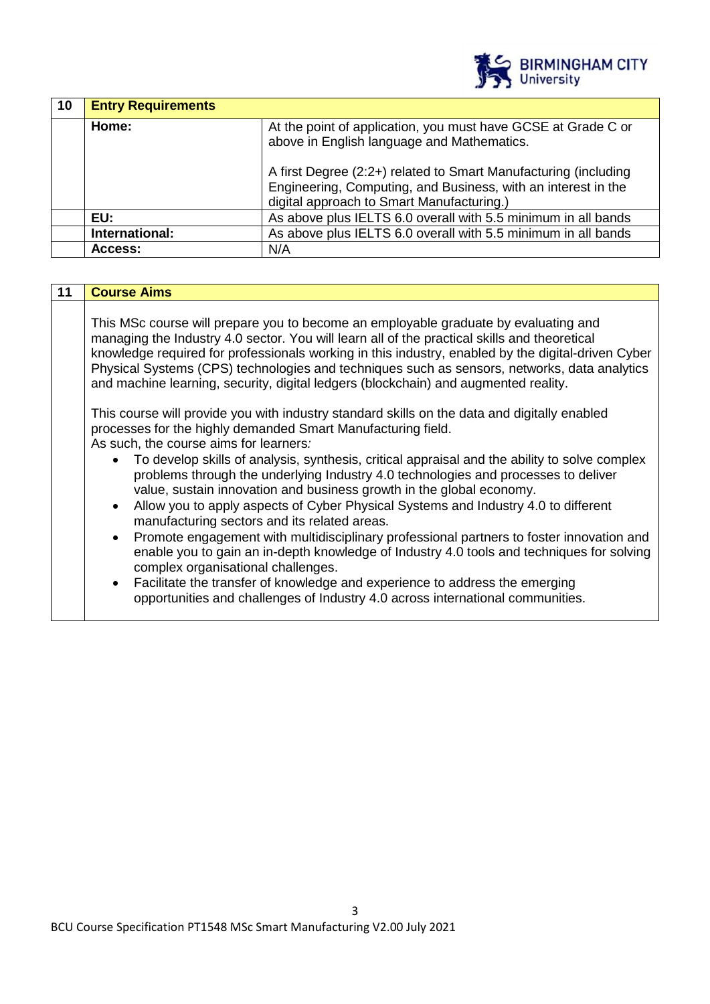

| 10 | <b>Entry Requirements</b>                                                                                            |                                                                                                                                                                               |  |  |  |
|----|----------------------------------------------------------------------------------------------------------------------|-------------------------------------------------------------------------------------------------------------------------------------------------------------------------------|--|--|--|
|    | Home:<br>At the point of application, you must have GCSE at Grade C or<br>above in English language and Mathematics. |                                                                                                                                                                               |  |  |  |
|    |                                                                                                                      | A first Degree (2:2+) related to Smart Manufacturing (including<br>Engineering, Computing, and Business, with an interest in the<br>digital approach to Smart Manufacturing.) |  |  |  |
|    | EU:                                                                                                                  | As above plus IELTS 6.0 overall with 5.5 minimum in all bands                                                                                                                 |  |  |  |
|    | International:                                                                                                       | As above plus IELTS 6.0 overall with 5.5 minimum in all bands                                                                                                                 |  |  |  |
|    | Access:                                                                                                              | N/A                                                                                                                                                                           |  |  |  |

| <b>Course Aims</b>                                                                                                                                                                                                                                                                                                                                                                                                                                                                                                                                                               |
|----------------------------------------------------------------------------------------------------------------------------------------------------------------------------------------------------------------------------------------------------------------------------------------------------------------------------------------------------------------------------------------------------------------------------------------------------------------------------------------------------------------------------------------------------------------------------------|
| This MSc course will prepare you to become an employable graduate by evaluating and<br>managing the Industry 4.0 sector. You will learn all of the practical skills and theoretical<br>knowledge required for professionals working in this industry, enabled by the digital-driven Cyber<br>Physical Systems (CPS) technologies and techniques such as sensors, networks, data analytics<br>and machine learning, security, digital ledgers (blockchain) and augmented reality.<br>This course will provide you with industry standard skills on the data and digitally enabled |
| processes for the highly demanded Smart Manufacturing field.<br>As such, the course aims for learners:<br>To develop skills of analysis, synthesis, critical appraisal and the ability to solve complex<br>problems through the underlying Industry 4.0 technologies and processes to deliver<br>value, sustain innovation and business growth in the global economy.<br>Allow you to apply aspects of Cyber Physical Systems and Industry 4.0 to different<br>$\bullet$<br>manufacturing sectors and its related areas.                                                         |
| Promote engagement with multidisciplinary professional partners to foster innovation and<br>$\bullet$<br>enable you to gain an in-depth knowledge of Industry 4.0 tools and techniques for solving<br>complex organisational challenges.<br>Facilitate the transfer of knowledge and experience to address the emerging<br>$\bullet$<br>opportunities and challenges of Industry 4.0 across international communities.                                                                                                                                                           |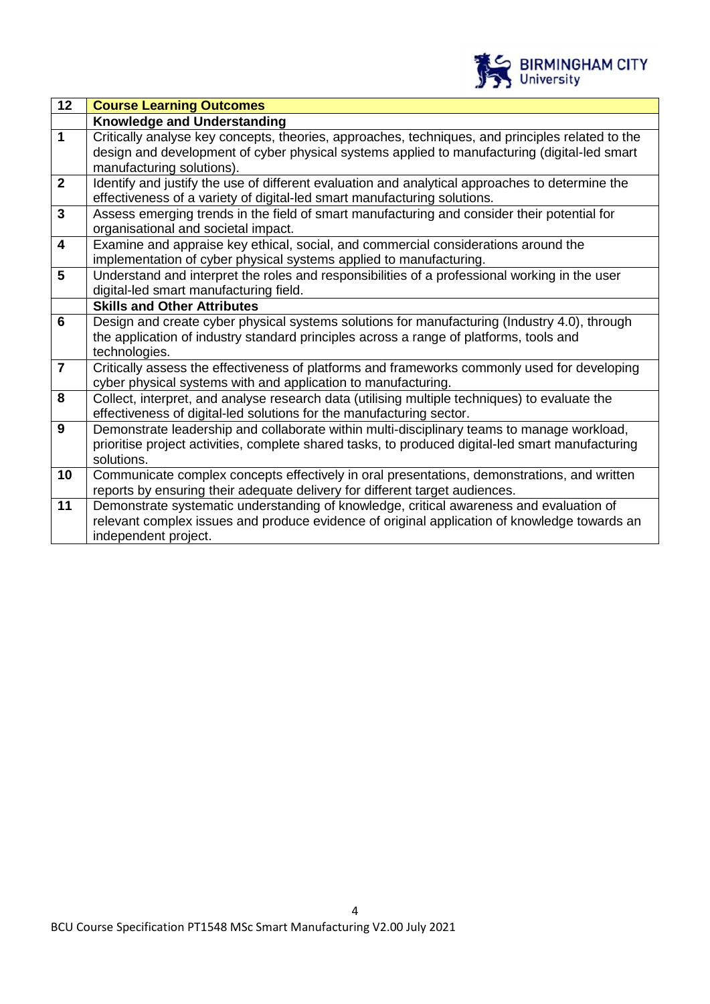

| 12                      | <b>Course Learning Outcomes</b>                                                                                           |
|-------------------------|---------------------------------------------------------------------------------------------------------------------------|
|                         | <b>Knowledge and Understanding</b>                                                                                        |
| $\overline{1}$          | Critically analyse key concepts, theories, approaches, techniques, and principles related to the                          |
|                         | design and development of cyber physical systems applied to manufacturing (digital-led smart<br>manufacturing solutions). |
| $\overline{2}$          | Identify and justify the use of different evaluation and analytical approaches to determine the                           |
|                         | effectiveness of a variety of digital-led smart manufacturing solutions.                                                  |
| $\mathbf{3}$            | Assess emerging trends in the field of smart manufacturing and consider their potential for                               |
|                         | organisational and societal impact.                                                                                       |
| $\overline{\mathbf{4}}$ | Examine and appraise key ethical, social, and commercial considerations around the                                        |
|                         | implementation of cyber physical systems applied to manufacturing.                                                        |
| $5\phantom{1}$          | Understand and interpret the roles and responsibilities of a professional working in the user                             |
|                         | digital-led smart manufacturing field.                                                                                    |
|                         | <b>Skills and Other Attributes</b>                                                                                        |
| 6                       | Design and create cyber physical systems solutions for manufacturing (Industry 4.0), through                              |
|                         | the application of industry standard principles across a range of platforms, tools and                                    |
|                         | technologies.                                                                                                             |
| $\overline{7}$          | Critically assess the effectiveness of platforms and frameworks commonly used for developing                              |
|                         | cyber physical systems with and application to manufacturing.                                                             |
| 8                       | Collect, interpret, and analyse research data (utilising multiple techniques) to evaluate the                             |
|                         | effectiveness of digital-led solutions for the manufacturing sector.                                                      |
| 9                       | Demonstrate leadership and collaborate within multi-disciplinary teams to manage workload,                                |
|                         | prioritise project activities, complete shared tasks, to produced digital-led smart manufacturing                         |
|                         | solutions.                                                                                                                |
| 10                      | Communicate complex concepts effectively in oral presentations, demonstrations, and written                               |
|                         | reports by ensuring their adequate delivery for different target audiences.                                               |
| 11                      | Demonstrate systematic understanding of knowledge, critical awareness and evaluation of                                   |
|                         | relevant complex issues and produce evidence of original application of knowledge towards an                              |
|                         | independent project.                                                                                                      |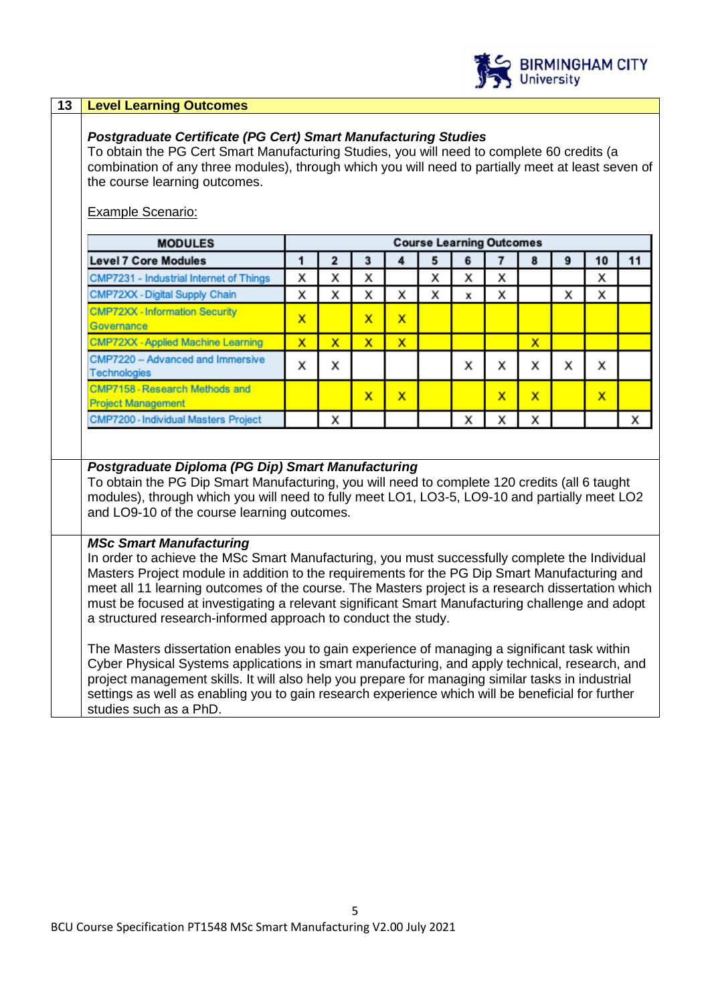

#### **13 Level Learning Outcomes**

#### *Postgraduate Certificate (PG Cert) Smart Manufacturing Studies*

To obtain the PG Cert Smart Manufacturing Studies, you will need to complete 60 credits (a combination of any three modules), through which you will need to partially meet at least seven of the course learning outcomes.

#### Example Scenario:

| <b>MODULES</b>                                              |   | <b>Course Learning Outcomes</b> |   |              |   |   |        |   |   |    |    |
|-------------------------------------------------------------|---|---------------------------------|---|--------------|---|---|--------|---|---|----|----|
| <b>Level 7 Core Modules</b>                                 |   |                                 | з |              | 5 | 6 |        |   | 9 | 10 | 11 |
| CMP7231 - Industrial Internet of Things                     | x | x                               | x |              | x | x | x      |   |   | x  |    |
| CMP72XX - Digital Supply Chain                              | x | x                               | X | x            | x | x | x      |   | x | x  |    |
| <b>CMP72XX - Information Security</b><br>Governance         | x |                                 | x | x            |   |   |        |   |   |    |    |
| <b>CMP72XX - Applied Machine Learning</b>                   | x | x                               | x | $\mathsf{x}$ |   |   |        | x |   |    |    |
| CMP7220 - Advanced and Immersive<br><b>Technologies</b>     | x | x                               |   |              |   | x | v<br>́ | x | x | x  |    |
| CMP7158 - Research Methods and<br><b>Project Management</b> |   |                                 | x | x            |   |   | x      | x |   | x  |    |
| CMP7200 - Individual Masters Project                        |   | x                               |   |              |   | x |        | x |   |    |    |

#### *Postgraduate Diploma (PG Dip) Smart Manufacturing*

To obtain the PG Dip Smart Manufacturing, you will need to complete 120 credits (all 6 taught modules), through which you will need to fully meet LO1, LO3-5, LO9-10 and partially meet LO2 and LO9-10 of the course learning outcomes.

#### *MSc Smart Manufacturing*

In order to achieve the MSc Smart Manufacturing, you must successfully complete the Individual Masters Project module in addition to the requirements for the PG Dip Smart Manufacturing and meet all 11 learning outcomes of the course. The Masters project is a research dissertation which must be focused at investigating a relevant significant Smart Manufacturing challenge and adopt a structured research-informed approach to conduct the study.

The Masters dissertation enables you to gain experience of managing a significant task within Cyber Physical Systems applications in smart manufacturing, and apply technical, research, and project management skills. It will also help you prepare for managing similar tasks in industrial settings as well as enabling you to gain research experience which will be beneficial for further studies such as a PhD.

5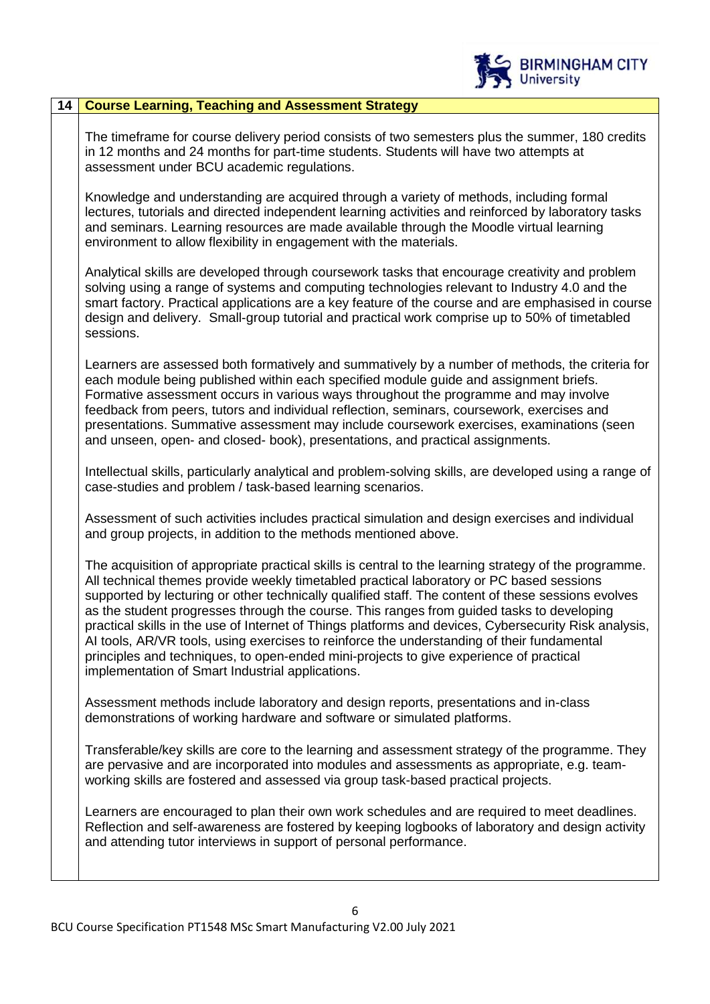

#### **14 Course Learning, Teaching and Assessment Strategy**

The timeframe for course delivery period consists of two semesters plus the summer, 180 credits in 12 months and 24 months for part-time students. Students will have two attempts at assessment under BCU academic regulations.

Knowledge and understanding are acquired through a variety of methods, including formal lectures, tutorials and directed independent learning activities and reinforced by laboratory tasks and seminars. Learning resources are made available through the Moodle virtual learning environment to allow flexibility in engagement with the materials.

Analytical skills are developed through coursework tasks that encourage creativity and problem solving using a range of systems and computing technologies relevant to Industry 4.0 and the smart factory. Practical applications are a key feature of the course and are emphasised in course design and delivery. Small-group tutorial and practical work comprise up to 50% of timetabled sessions.

Learners are assessed both formatively and summatively by a number of methods, the criteria for each module being published within each specified module guide and assignment briefs. Formative assessment occurs in various ways throughout the programme and may involve feedback from peers, tutors and individual reflection, seminars, coursework, exercises and presentations. Summative assessment may include coursework exercises, examinations (seen and unseen, open- and closed- book), presentations, and practical assignments.

Intellectual skills, particularly analytical and problem-solving skills, are developed using a range of case-studies and problem / task-based learning scenarios.

Assessment of such activities includes practical simulation and design exercises and individual and group projects, in addition to the methods mentioned above.

The acquisition of appropriate practical skills is central to the learning strategy of the programme. All technical themes provide weekly timetabled practical laboratory or PC based sessions supported by lecturing or other technically qualified staff. The content of these sessions evolves as the student progresses through the course. This ranges from guided tasks to developing practical skills in the use of Internet of Things platforms and devices, Cybersecurity Risk analysis, AI tools, AR/VR tools, using exercises to reinforce the understanding of their fundamental principles and techniques, to open-ended mini-projects to give experience of practical implementation of Smart Industrial applications.

Assessment methods include laboratory and design reports, presentations and in-class demonstrations of working hardware and software or simulated platforms.

Transferable/key skills are core to the learning and assessment strategy of the programme. They are pervasive and are incorporated into modules and assessments as appropriate, e.g. teamworking skills are fostered and assessed via group task-based practical projects.

Learners are encouraged to plan their own work schedules and are required to meet deadlines. Reflection and self-awareness are fostered by keeping logbooks of laboratory and design activity and attending tutor interviews in support of personal performance.

6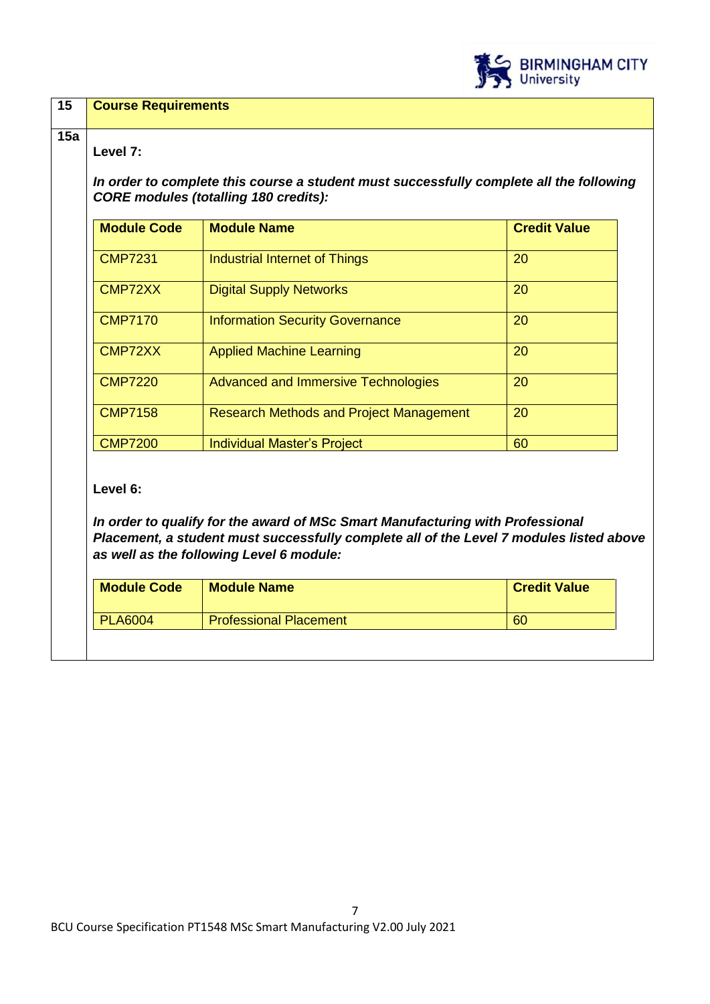

| <b>Module Code</b> | <b>Module Name</b>                             | <b>Credit Value</b> |
|--------------------|------------------------------------------------|---------------------|
| <b>CMP7231</b>     | <b>Industrial Internet of Things</b>           | 20                  |
| CMP72XX            | <b>Digital Supply Networks</b>                 | 20                  |
| <b>CMP7170</b>     | <b>Information Security Governance</b>         | 20                  |
| CMP72XX            | <b>Applied Machine Learning</b>                | 20                  |
| <b>CMP7220</b>     | <b>Advanced and Immersive Technologies</b>     | 20                  |
| <b>CMP7158</b>     | <b>Research Methods and Project Management</b> | 20                  |
| <b>CMP7200</b>     | <b>Individual Master's Project</b>             | 60                  |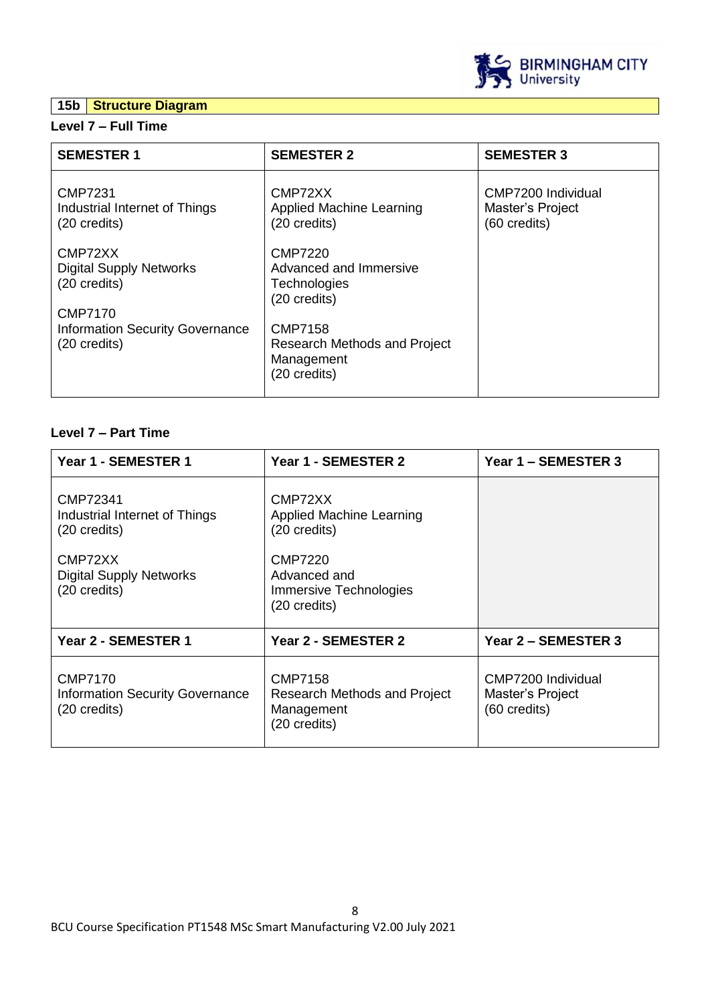# **15b Structure Diagram**



| <b>SEMESTER 1</b>                                                           | <b>SEMESTER 2</b>                                                            | <b>SEMESTER 3</b>                                      |
|-----------------------------------------------------------------------------|------------------------------------------------------------------------------|--------------------------------------------------------|
| CMP7231<br>Industrial Internet of Things<br>$(20 \text{ credits})$          | CMP72XX<br>Applied Machine Learning<br>(20 credits)                          | CMP7200 Individual<br>Master's Project<br>(60 credits) |
| CMP72XX<br><b>Digital Supply Networks</b><br>(20 credits)<br><b>CMP7170</b> | CMP7220<br>Advanced and Immersive<br>Technologies<br>(20 credits)            |                                                        |
| <b>Information Security Governance</b><br>(20 credits)                      | <b>CMP7158</b><br>Research Methods and Project<br>Management<br>(20 credits) |                                                        |

# **Level 7 – Part Time**

| Year 1 - SEMESTER 1                                                                                                              | Year 1 - SEMESTER 2                                                                                                                    | Year 1 – SEMESTER 3                                    |  |  |
|----------------------------------------------------------------------------------------------------------------------------------|----------------------------------------------------------------------------------------------------------------------------------------|--------------------------------------------------------|--|--|
| CMP72341<br>Industrial Internet of Things<br>$(20 \text{ credits})$<br>CMP72XX<br><b>Digital Supply Networks</b><br>(20 credits) | CMP72XX<br><b>Applied Machine Learning</b><br>(20 credits)<br><b>CMP7220</b><br>Advanced and<br>Immersive Technologies<br>(20 credits) |                                                        |  |  |
| Year 2 - SEMESTER 1                                                                                                              | Year 2 - SEMESTER 2                                                                                                                    | Year 2 - SEMESTER 3                                    |  |  |
| <b>CMP7170</b><br><b>Information Security Governance</b><br>(20 credits)                                                         | <b>CMP7158</b><br>Research Methods and Project<br>Management<br>(20 credits)                                                           | CMP7200 Individual<br>Master's Project<br>(60 credits) |  |  |

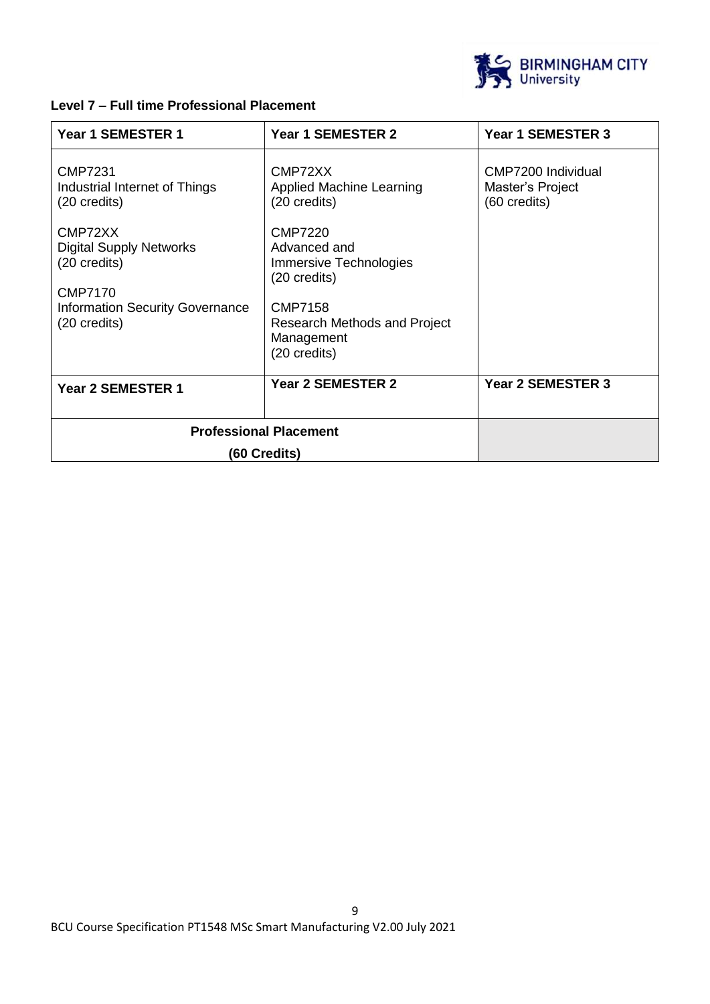

# **Level 7 – Full time Professional Placement**

| Year 1 SEMESTER 1                                                           | Year 1 SEMESTER 2                                                            | Year 1 SEMESTER 3                                      |
|-----------------------------------------------------------------------------|------------------------------------------------------------------------------|--------------------------------------------------------|
| <b>CMP7231</b><br>Industrial Internet of Things<br>(20 credits)             | CMP72XX<br>Applied Machine Learning<br>(20 credits)                          | CMP7200 Individual<br>Master's Project<br>(60 credits) |
| CMP72XX<br><b>Digital Supply Networks</b><br>(20 credits)<br><b>CMP7170</b> | CMP7220<br>Advanced and<br>Immersive Technologies<br>$(20 \text{ credits})$  |                                                        |
| <b>Information Security Governance</b><br>(20 credits)                      | <b>CMP7158</b><br>Research Methods and Project<br>Management<br>(20 credits) |                                                        |
| <b>Year 2 SEMESTER 1</b>                                                    | Year 2 SEMESTER 2                                                            | Year 2 SEMESTER 3                                      |
| <b>Professional Placement</b>                                               |                                                                              |                                                        |
| (60 Credits)                                                                |                                                                              |                                                        |